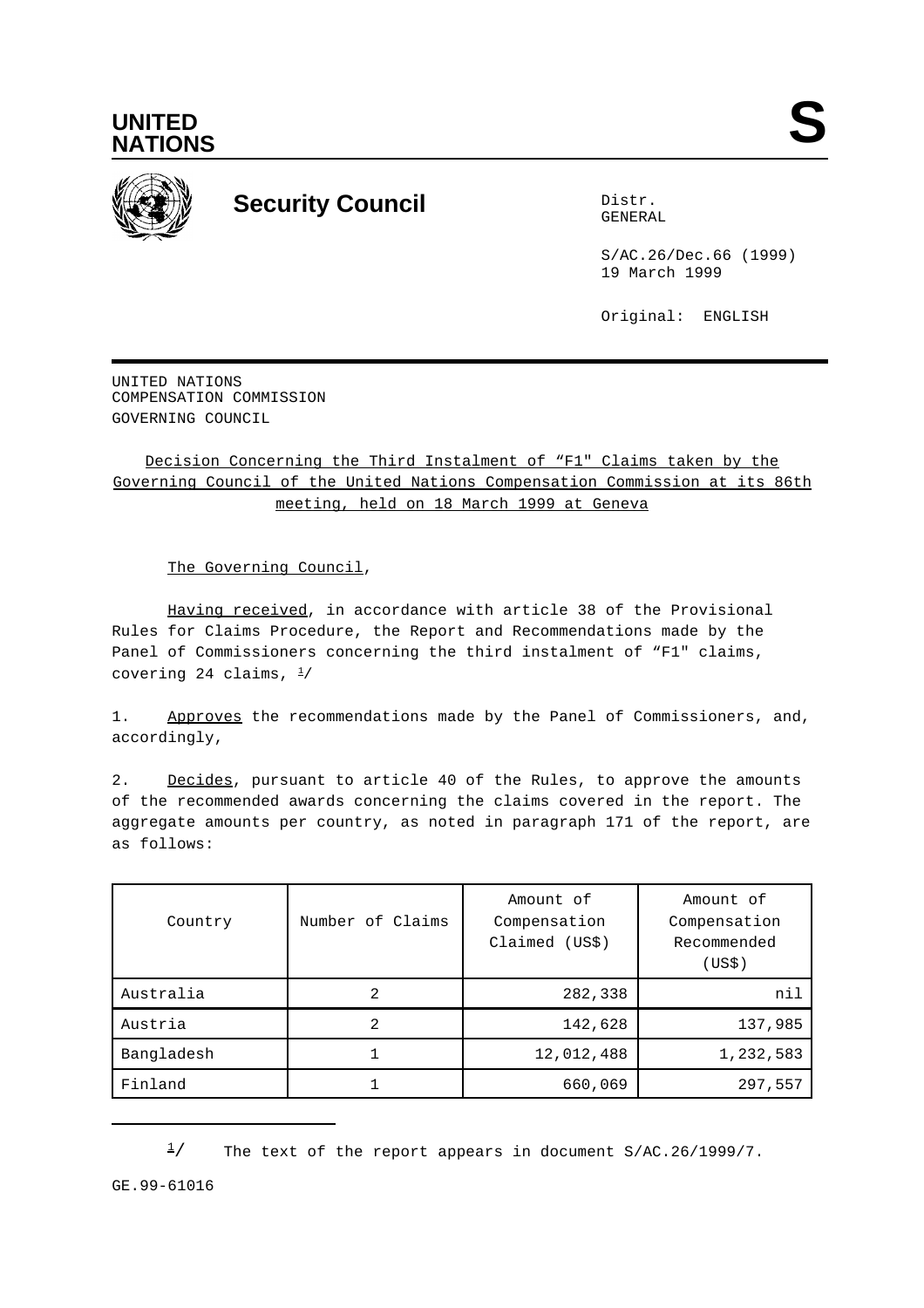



## **Security Council** Distribution of the Distribution of the Distribution of the Distribution of the Distribution of the Distribution of the Distribution of the Distribution of the Distribution of the Distribution of the Dis

GENERAL

S/AC.26/Dec.66 (1999) 19 March 1999

Original: ENGLISH

UNITED NATIONS COMPENSATION COMMISSION GOVERNING COUNCIL

Decision Concerning the Third Instalment of "F1" Claims taken by the Governing Council of the United Nations Compensation Commission at its 86th meeting, held on 18 March 1999 at Geneva

The Governing Council,

Having received, in accordance with article 38 of the Provisional Rules for Claims Procedure, the Report and Recommendations made by the Panel of Commissioners concerning the third instalment of "F1" claims, covering 24 claims,  $\frac{1}{2}$ 

1. Approves the recommendations made by the Panel of Commissioners, and, accordingly,

2. Decides, pursuant to article 40 of the Rules, to approve the amounts of the recommended awards concerning the claims covered in the report. The aggregate amounts per country, as noted in paragraph 171 of the report, are as follows:

| Country    | Number of Claims | Amount of<br>Compensation<br>Claimed (US\$) | Amount of<br>Compensation<br>Recommended<br>(USS) |
|------------|------------------|---------------------------------------------|---------------------------------------------------|
| Australia  | 2                | 282,338                                     | nil                                               |
| Austria    | 2                | 142,628                                     | 137,985                                           |
| Bangladesh |                  | 12,012,488                                  | 1,232,583                                         |
| Finland    |                  | 660,069                                     | 297,557                                           |

 $\frac{1}{2}$  The text of the report appears in document S/AC.26/1999/7.